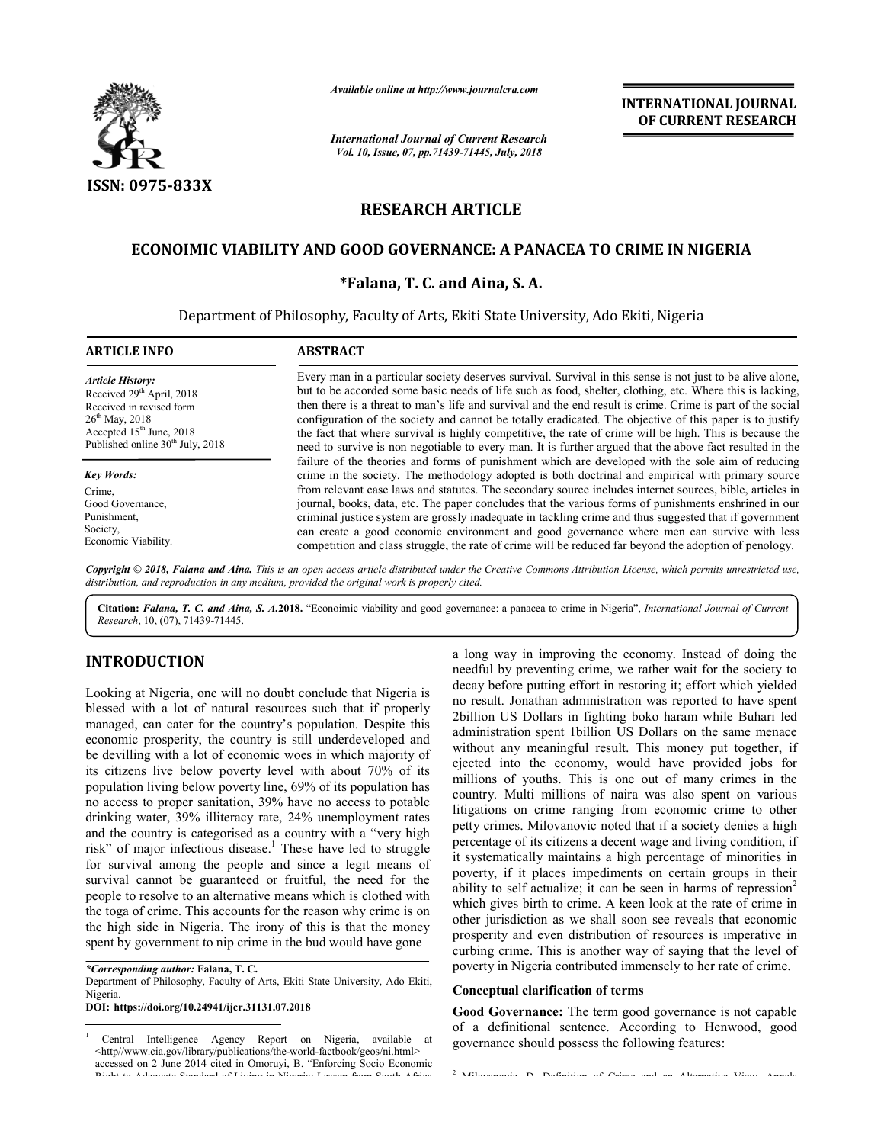

*Available online at http://www.journalcra.com*

*International Journal of Current Research Vol. 10, Issue, 07, Vol. pp.71439-71445, July, 2018*

**INTERNATIONAL JOURNAL OF CURRENT RESEARCH**

# **RESEARCH ARTICLE**

# **ECONOIMIC VIABILITY AND GOOD GOVERNANCE: A PANACEA TO CRIME IN NIGERIA**

## **\*Falana, T. C. and Aina, S. A. Falana,**

Department of Philosophy, Faculty of Arts, Ekiti State University, Ado Ekiti, Nigeria

| <b>ARTICLE INFO</b>                          | <b>ABSTRACT</b>                                                                                                                                                                                        |  |  |
|----------------------------------------------|--------------------------------------------------------------------------------------------------------------------------------------------------------------------------------------------------------|--|--|
| <b>Article History:</b>                      | Every man in a particular society deserves survival. Survival in this sense is not just to be alive alone.                                                                                             |  |  |
| Received 29 <sup>th</sup> April, 2018        | but to be accorded some basic needs of life such as food, shelter, clothing, etc. Where this is lacking,                                                                                               |  |  |
| Received in revised form                     | then there is a threat to man's life and survival and the end result is crime. Crime is part of the social                                                                                             |  |  |
| $26^{th}$ May, 2018                          | configuration of the society and cannot be totally eradicated. The objective of this paper is to justify                                                                                               |  |  |
| Accepted $15th$ June, 2018                   | the fact that where survival is highly competitive, the rate of crime will be high. This is because the                                                                                                |  |  |
| Published online 30 <sup>th</sup> July, 2018 | need to survive is non negotiable to every man. It is further argued that the above fact resulted in the                                                                                               |  |  |
| <b>Key Words:</b>                            | failure of the theories and forms of punishment which are developed with the sole aim of reducing<br>crime in the society. The methodology adopted is both doctrinal and empirical with primary source |  |  |
| Crime.                                       | from relevant case laws and statutes. The secondary source includes internet sources, bible, articles in                                                                                               |  |  |
| Good Governance.                             | journal, books, data, etc. The paper concludes that the various forms of punishments enshrined in our                                                                                                  |  |  |
| Punishment.                                  | criminal justice system are grossly inadequate in tackling crime and thus suggested that if government                                                                                                 |  |  |
| Society,                                     | can create a good economic environment and good governance where men can survive with less                                                                                                             |  |  |
| Economic Viability.                          | competition and class struggle, the rate of crime will be reduced far beyond the adoption of penology.                                                                                                 |  |  |

Copyright © 2018, Falana and Aina. This is an open access article distributed under the Creative Commons Attribution License, which permits unrestricted use, *distribution, and reproduction in any medium, provided the original work is properly cited.*

Citation: Falana, T. C. and Aina, S. A.2018. "Econoimic viability and good governance: a panacea to crime in Nigeria", *International Journal of Current Research*, 10, (07), 71439-71445.

# **INTRODUCTION**

Looking at Nigeria, one will no doubt conclude that Nigeria is blessed with a lot of natural resources such that if properly managed, can cater for the country's population. Despite this economic prosperity, the country is still underdeveloped and be devilling with a lot of economic woes in which majority of its citizens live below poverty level with about 70% of its population living below poverty line, 69% of its population has no access to proper sanitation, 39% have no access to potable drinking water, 39% illiteracy rate, 24% unemployment rates and the country is categorised as a country with a "very high risk" of major infectious disease.<sup>1</sup> These have led to struggle for survival among the people and since a legit means of survival cannot be guaranteed or fruitful, the need for the people to resolve to an alternative means which is clothed with the toga of crime. This accounts for the reason why crime the high side in Nigeria. The irony of this is that the money spent by government to nip crime in the bud would have gone issed with a lot of natural resources such that if properly naged, can cater for the country's population. Despite this nomic prosperity, the country is still underdeveloped and devilling with a lot of economic woes in whi val among the people and since a legit means of cannot be guaranteed or fruitful, the need for the resolve to an alternative means which is clothed with f crime. This accounts for the reason why crime is on

*\*Corresponding author:* **Falana, T. C.**

Department of Philosophy, Faculty of Arts, Ekiti State University, Ado Ekiti, Nigeria.

**DOI: https://doi.org/10.24941/ijcr.31131.07.2018**

 1 Central Intelligence Agency Report on Nigeria, available at <http//www.cia.gov/library/publications/the-world-factbook/geos/ni.html> accessed on 2 June 2014 cited in Omoruyi, B. "Enforcing Socio Economic Right to Adequate Standard of Living in Nigeria: Lesson from South Africa

**ETION**<br>
a long way in improving the economy. Instead of doing the science and the science of doing the science and to the material and the science of the science of the science of the science of the science of the scienc needful by preventing crime, we rather wait for the society to decay before putting effort in restoring it; effort which yielded no result. Jonathan administration was reported to have spent 2billion US Dollars in fighting boko haram while Buhari led administration spent 1billion US Dollars on the same menace without any meaningful result. This money put together, if ejected into the economy, would have provided jobs for millions of youths. This is one out of many crimes in the country. Multi millions of naira was also spent on various litigations on crime ranging from economic crime to other petty crimes. Milovanovic noted that if a society denies a high percentage of its citizens a decent wage and living condition, if it systematically maintains a high percentage of minorities in poverty, if it places impediments on certain groups in their ability to self actualize; it can be seen in harms of repression<sup>2</sup> which gives birth to crime. A keen look at the rate of crime in which gives birth to crime. A keen look at the rate of crime in other jurisdiction as we shall soon see reveals that economic prosperity and even distribution of resources is imperative in curbing crime. This is another way of saying that the level of poverty in Nigeria contributed immensely to her rate of crime. a long way in improving the economy. Instead of doing the its citizens a decent wage and living condition, if<br>ly maintains a high percentage of minorities in<br>places impediments on certain groups in their<br>actualize; it can be seen in harms of repression<sup>2</sup> **ITIONAL JOURNAL**<br> **RRENT RESEARCH**<br> **RRENT RESEARCH**<br> **C.** Where this is lacking<br>
c. where this is lacking<br>
cime is part of the social<br>
of this paper is to justify<br>
igh. This is because the<br>
bowe fact resulted in the<br>
he

#### **Conceptual clarification of terms**

Good Governance: The term good governance is not capable of a definitional sentence. According to Henwood, good Henwood, governance should possess the following features:

2 Milovanovic, D. Definition of Crime and an Alternative View. Annals,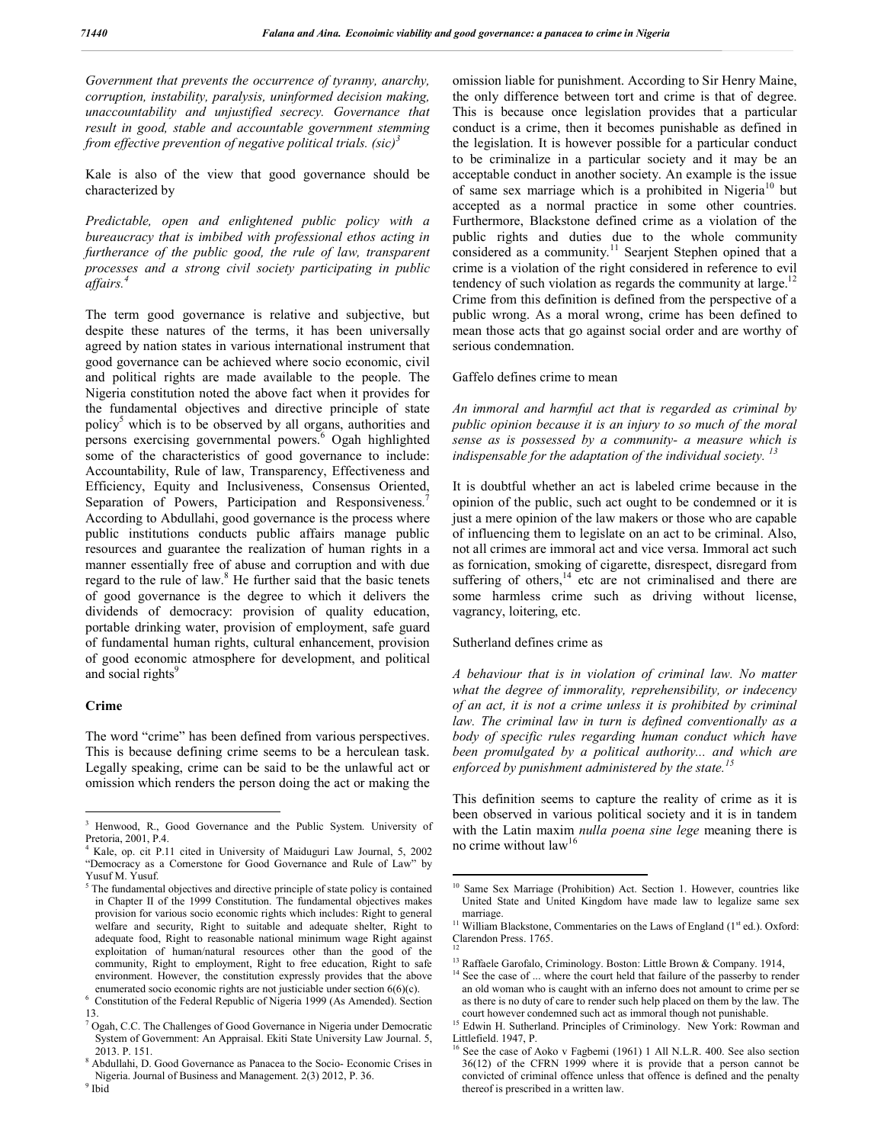*Government that prevents the occurrence of tyranny, anarchy, corruption, instability, paralysis, uninformed decision making, unaccountability and unjustified secrecy. Governance that result in good, stable and accountable government stemming from effective prevention of negative political trials. (sic)<sup>3</sup>*

Kale is also of the view that good governance should be characterized by

*Predictable, open and enlightened public policy with a bureaucracy that is imbibed with professional ethos acting in furtherance of the public good, the rule of law, transparent processes and a strong civil society participating in public affairs.<sup>4</sup>*

The term good governance is relative and subjective, but despite these natures of the terms, it has been universally agreed by nation states in various international instrument that good governance can be achieved where socio economic, civil and political rights are made available to the people. The Nigeria constitution noted the above fact when it provides for the fundamental objectives and directive principle of state policy<sup>5</sup> which is to be observed by all organs, authorities and persons exercising governmental powers.<sup>6</sup> Ogah highlighted some of the characteristics of good governance to include: Accountability, Rule of law, Transparency, Effectiveness and Efficiency, Equity and Inclusiveness, Consensus Oriented, Separation of Powers, Participation and Responsiveness.<sup>7</sup> According to Abdullahi, good governance is the process where public institutions conducts public affairs manage public resources and guarantee the realization of human rights in a manner essentially free of abuse and corruption and with due regard to the rule of law.<sup>8</sup> He further said that the basic tenets of good governance is the degree to which it delivers the dividends of democracy: provision of quality education, portable drinking water, provision of employment, safe guard of fundamental human rights, cultural enhancement, provision of good economic atmosphere for development, and political and social rights<sup>9</sup>

#### **Crime**

The word "crime" has been defined from various perspectives. This is because defining crime seems to be a herculean task. Legally speaking, crime can be said to be the unlawful act or omission which renders the person doing the act or making the

omission liable for punishment. According to Sir Henry Maine, the only difference between tort and crime is that of degree. This is because once legislation provides that a particular conduct is a crime, then it becomes punishable as defined in the legislation. It is however possible for a particular conduct to be criminalize in a particular society and it may be an acceptable conduct in another society. An example is the issue of same sex marriage which is a prohibited in Nigeria<sup>10</sup> but accepted as a normal practice in some other countries. Furthermore, Blackstone defined crime as a violation of the public rights and duties due to the whole community considered as a community.<sup>11</sup> Searjent Stephen opined that a crime is a violation of the right considered in reference to evil tendency of such violation as regards the community at large. $1$ Crime from this definition is defined from the perspective of a public wrong. As a moral wrong, crime has been defined to mean those acts that go against social order and are worthy of serious condemnation.

#### Gaffelo defines crime to mean

*An immoral and harmful act that is regarded as criminal by public opinion because it is an injury to so much of the moral sense as is possessed by a community- a measure which is indispensable for the adaptation of the individual society. <sup>13</sup>*

It is doubtful whether an act is labeled crime because in the opinion of the public, such act ought to be condemned or it is just a mere opinion of the law makers or those who are capable of influencing them to legislate on an act to be criminal. Also, not all crimes are immoral act and vice versa. Immoral act such as fornication, smoking of cigarette, disrespect, disregard from suffering of others, $14$  etc are not criminalised and there are some harmless crime such as driving without license, vagrancy, loitering, etc.

#### Sutherland defines crime as

*A behaviour that is in violation of criminal law. No matter what the degree of immorality, reprehensibility, or indecency of an act, it is not a crime unless it is prohibited by criminal law. The criminal law in turn is defined conventionally as a body of specific rules regarding human conduct which have been promulgated by a political authority... and which are enforced by punishment administered by the state.<sup>15</sup>*

This definition seems to capture the reality of crime as it is been observed in various political society and it is in tandem with the Latin maxim *nulla poena sine lege* meaning there is no crime without law<sup>16</sup>

<sup>&</sup>lt;sup>3</sup> Henwood, R., Good Governance and the Public System. University of Pretoria, 2001, P.4.

<sup>4</sup> Kale, op. cit P.11 cited in University of Maiduguri Law Journal, 5, 2002 "Democracy as a Cornerstone for Good Governance and Rule of Law" by Yusuf M. Yusuf.

 $5$  The fundamental objectives and directive principle of state policy is contained in Chapter II of the 1999 Constitution. The fundamental objectives makes provision for various socio economic rights which includes: Right to general welfare and security, Right to suitable and adequate shelter, Right to adequate food, Right to reasonable national minimum wage Right against exploitation of human/natural resources other than the good of the community, Right to employment, Right to free education, Right to safe environment. However, the constitution expressly provides that the above

enumerated socio economic rights are not justiciable under section 6(6)(c). <sup>6</sup> Constitution of the Federal Republic of Nigeria 1999 (As Amended). Section 13.

<sup>7</sup> Ogah, C.C. The Challenges of Good Governance in Nigeria under Democratic System of Government: An Appraisal. Ekiti State University Law Journal. 5, 2013. P. 151. 8 Abdullahi, D. Good Governance as Panacea to the Socio- Economic Crises in

Nigeria. Journal of Business and Management. 2(3) 2012, P. 36. Ibid

<sup>&</sup>lt;sup>10</sup> Same Sex Marriage (Prohibition) Act. Section 1. However, countries like United State and United Kingdom have made law to legalize same sex

marriage. 11 William Blackstone, Commentaries on the Laws of England (1<sup>st</sup> ed.). Oxford: Clarendon Press. 1765. 12

<sup>&</sup>lt;sup>13</sup> Raffaele Garofalo, Criminology. Boston: Little Brown & Company. 1914,  $14$  See the case of ... where the court held that failure of the passerby to render an old woman who is caught with an inferno does not amount to crime per se as there is no duty of care to render such help placed on them by the law. The court however condemned such act as immoral though not punishable.

<sup>&</sup>lt;sup>15</sup> Edwin H. Sutherland. Principles of Criminology. New York: Rowman and Littlefield. 1947, P.

See the case of Aoko v Fagbemi (1961) 1 All N.L.R. 400. See also section 36(12) of the CFRN 1999 where it is provide that a person cannot be convicted of criminal offence unless that offence is defined and the penalty thereof is prescribed in a written law.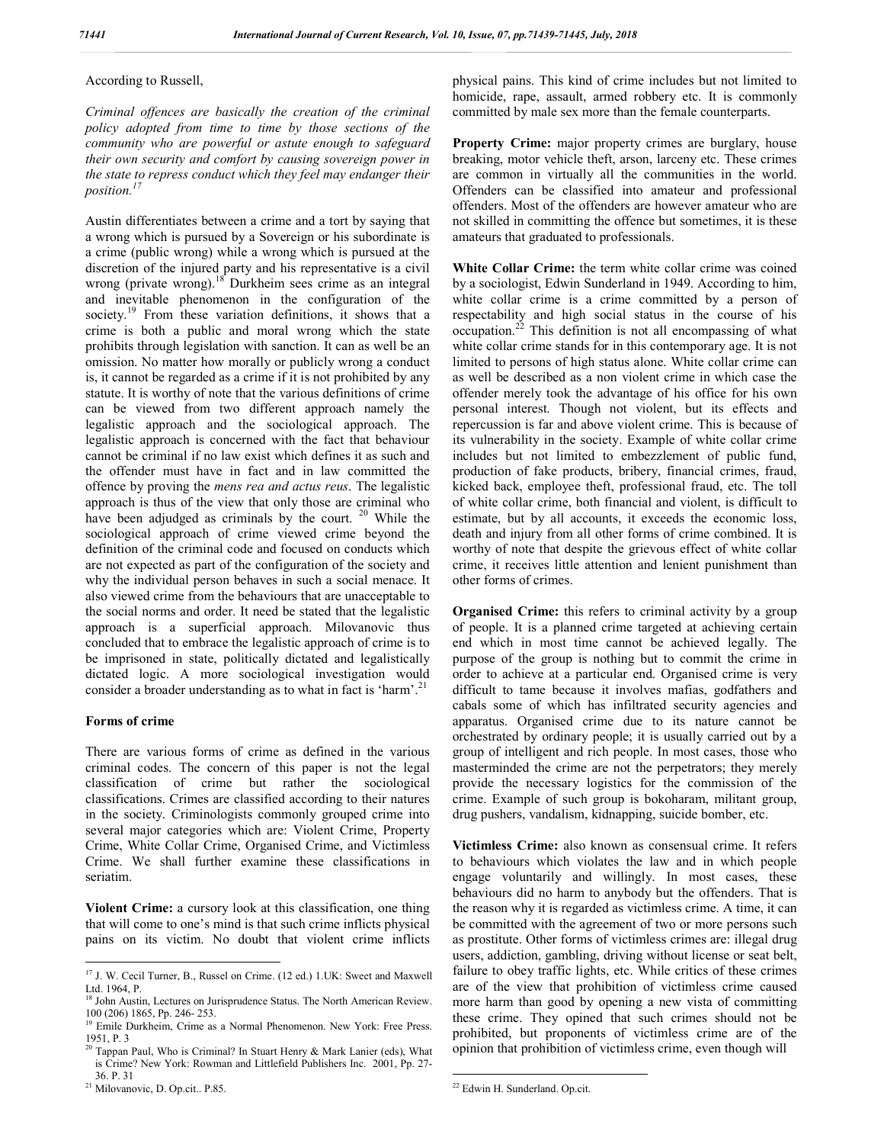## According to Russell,

*Criminal offences are basically the creation of the criminal policy adopted from time to time by those sections of the community who are powerful or astute enough to safeguard their own security and comfort by causing sovereign power in the state to repress conduct which they feel may endanger their position.<sup>17</sup>*

Austin differentiates between a crime and a tort by saying that a wrong which is pursued by a Sovereign or his subordinate is a crime (public wrong) while a wrong which is pursued at the discretion of the injured party and his representative is a civil wrong (private wrong).<sup>18</sup> Durkheim sees crime as an integral and inevitable phenomenon in the configuration of the society.<sup>19</sup> From these variation definitions, it shows that a crime is both a public and moral wrong which the state prohibits through legislation with sanction. It can as well be an omission. No matter how morally or publicly wrong a conduct is, it cannot be regarded as a crime if it is not prohibited by any statute. It is worthy of note that the various definitions of crime can be viewed from two different approach namely the legalistic approach and the sociological approach. The legalistic approach is concerned with the fact that behaviour cannot be criminal if no law exist which defines it as such and the offender must have in fact and in law committed the offence by proving the *mens rea and actus reus*. The legalistic approach is thus of the view that only those are criminal who have been adjudged as criminals by the court. <sup>20</sup> While the sociological approach of crime viewed crime beyond the definition of the criminal code and focused on conducts which are not expected as part of the configuration of the society and why the individual person behaves in such a social menace. It also viewed crime from the behaviours that are unacceptable to the social norms and order. It need be stated that the legalistic approach is a superficial approach. Milovanovic thus concluded that to embrace the legalistic approach of crime is to be imprisoned in state, politically dictated and legalistically dictated logic. A more sociological investigation would consider a broader understanding as to what in fact is 'harm'.<sup>21</sup>

#### **Forms of crime**

There are various forms of crime as defined in the various criminal codes. The concern of this paper is not the legal classification of crime but rather the sociological classifications. Crimes are classified according to their natures in the society. Criminologists commonly grouped crime into several major categories which are: Violent Crime, Property Crime, White Collar Crime, Organised Crime, and Victimless Crime. We shall further examine these classifications in seriatim.

**Violent Crime:** a cursory look at this classification, one thing that will come to one's mind is that such crime inflicts physical pains on its victim. No doubt that violent crime inflicts

physical pains. This kind of crime includes but not limited to homicide, rape, assault, armed robbery etc. It is commonly committed by male sex more than the female counterparts.

**Property Crime:** major property crimes are burglary, house breaking, motor vehicle theft, arson, larceny etc. These crimes are common in virtually all the communities in the world. Offenders can be classified into amateur and professional offenders. Most of the offenders are however amateur who are not skilled in committing the offence but sometimes, it is these amateurs that graduated to professionals.

**White Collar Crime:** the term white collar crime was coined by a sociologist, Edwin Sunderland in 1949. According to him, white collar crime is a crime committed by a person of respectability and high social status in the course of his occupation.<sup>22</sup> This definition is not all encompassing of what white collar crime stands for in this contemporary age. It is not limited to persons of high status alone. White collar crime can as well be described as a non violent crime in which case the offender merely took the advantage of his office for his own personal interest. Though not violent, but its effects and repercussion is far and above violent crime. This is because of its vulnerability in the society. Example of white collar crime includes but not limited to embezzlement of public fund, production of fake products, bribery, financial crimes, fraud, kicked back, employee theft, professional fraud, etc. The toll of white collar crime, both financial and violent, is difficult to estimate, but by all accounts, it exceeds the economic loss, death and injury from all other forms of crime combined. It is worthy of note that despite the grievous effect of white collar crime, it receives little attention and lenient punishment than other forms of crimes.

**Organised Crime:** this refers to criminal activity by a group of people. It is a planned crime targeted at achieving certain end which in most time cannot be achieved legally. The purpose of the group is nothing but to commit the crime in order to achieve at a particular end. Organised crime is very difficult to tame because it involves mafias, godfathers and cabals some of which has infiltrated security agencies and apparatus. Organised crime due to its nature cannot be orchestrated by ordinary people; it is usually carried out by a group of intelligent and rich people. In most cases, those who masterminded the crime are not the perpetrators; they merely provide the necessary logistics for the commission of the crime. Example of such group is bokoharam, militant group, drug pushers, vandalism, kidnapping, suicide bomber, etc.

**Victimless Crime:** also known as consensual crime. It refers to behaviours which violates the law and in which people engage voluntarily and willingly. In most cases, these behaviours did no harm to anybody but the offenders. That is the reason why it is regarded as victimless crime. A time, it can be committed with the agreement of two or more persons such as prostitute. Other forms of victimless crimes are: illegal drug users, addiction, gambling, driving without license or seat belt, failure to obey traffic lights, etc. While critics of these crimes are of the view that prohibition of victimless crime caused more harm than good by opening a new vista of committing these crime. They opined that such crimes should not be prohibited, but proponents of victimless crime are of the opinion that prohibition of victimless crime, even though will

<sup>&</sup>lt;sup>17</sup> J. W. Cecil Turner, B., Russel on Crime. (12 ed.) 1.UK: Sweet and Maxwell Ltd. 1964, P.

<sup>&</sup>lt;sup>18</sup> John Austin, Lectures on Jurisprudence Status. The North American Review. 100 (206) 1865, Pp. 246- 253.

<sup>&</sup>lt;sup>19</sup> Emile Durkheim, Crime as a Normal Phenomenon. New York: Free Press.<br>1951 P 3

<sup>&</sup>lt;sup>20</sup> Tappan Paul, Who is Criminal? In Stuart Henry & Mark Lanier (eds), What is Crime? New York: Rowman and Littlefield Publishers Inc. 2001, Pp. 27-

<sup>36.</sup> P. 31 <sup>21</sup> Milovanovic, D. Op.cit.. P.85.

 <sup>22</sup> Edwin H. Sunderland. Op.cit.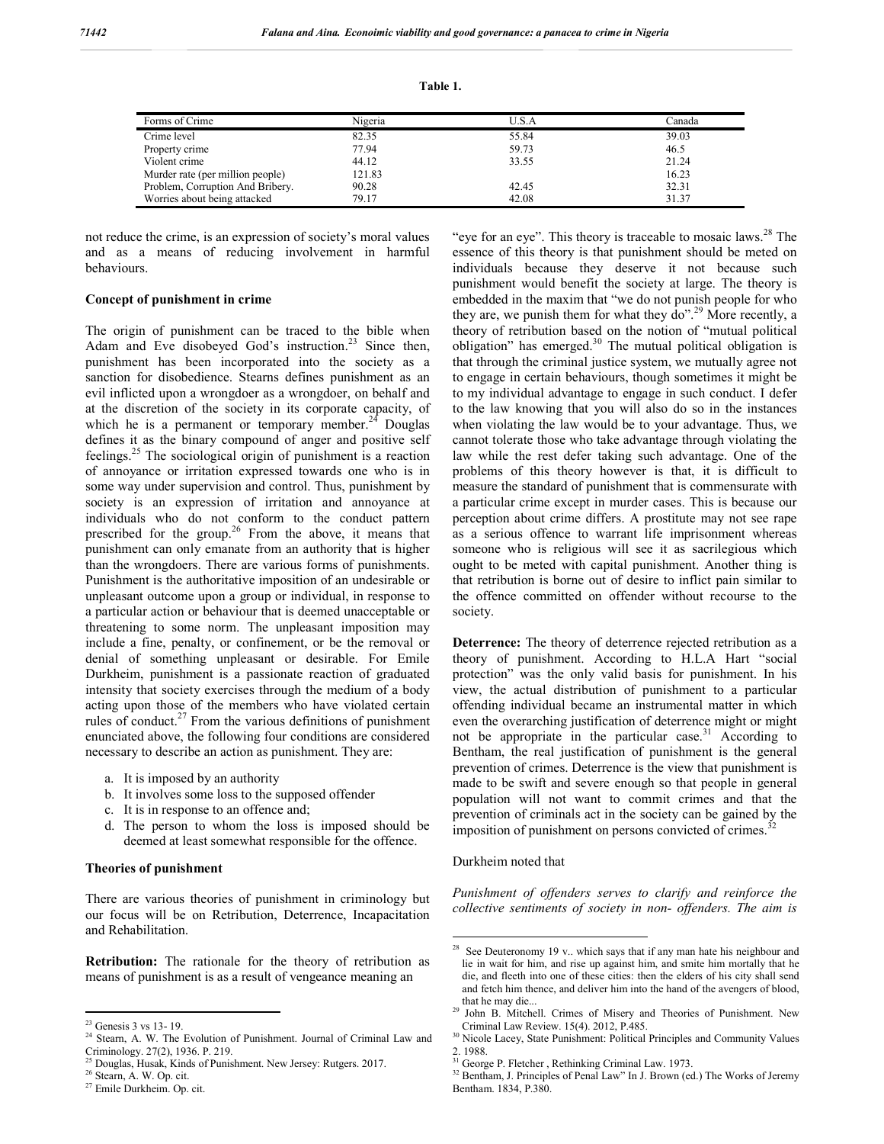| `able |  |
|-------|--|
|       |  |

| Forms of Crime                   | Nigeria | J.S.A | Canada |
|----------------------------------|---------|-------|--------|
| Crime level                      | 82.35   | 55.84 | 39.03  |
| Property crime                   | 77.94   | 59.73 | 46.5   |
| Violent crime                    | 44.12   | 33.55 | 21.24  |
| Murder rate (per million people) | 121.83  |       | 16.23  |
| Problem, Corruption And Bribery. | 90.28   | 42.45 | 32.31  |
| Worries about being attacked     | 79.17   | 42.08 | 31.37  |

not reduce the crime, is an expression of society's moral values and as a means of reducing involvement in harmful behaviours.

## **Concept of punishment in crime**

The origin of punishment can be traced to the bible when Adam and Eve disobeyed God's instruction.<sup>23</sup> Since then, punishment has been incorporated into the society as a sanction for disobedience. Stearns defines punishment as an evil inflicted upon a wrongdoer as a wrongdoer, on behalf and at the discretion of the society in its corporate capacity, of which he is a permanent or temporary member. $24$  Douglas defines it as the binary compound of anger and positive self feelings.<sup>25</sup> The sociological origin of punishment is a reaction of annoyance or irritation expressed towards one who is in some way under supervision and control. Thus, punishment by society is an expression of irritation and annoyance at individuals who do not conform to the conduct pattern prescribed for the group.<sup>26</sup> From the above, it means that punishment can only emanate from an authority that is higher than the wrongdoers. There are various forms of punishments. Punishment is the authoritative imposition of an undesirable or unpleasant outcome upon a group or individual, in response to a particular action or behaviour that is deemed unacceptable or threatening to some norm. The unpleasant imposition may include a fine, penalty, or confinement, or be the removal or denial of something unpleasant or desirable. For Emile Durkheim, punishment is a passionate reaction of graduated intensity that society exercises through the medium of a body acting upon those of the members who have violated certain rules of conduct.<sup>27</sup> From the various definitions of punishment enunciated above, the following four conditions are considered necessary to describe an action as punishment. They are:

- a. It is imposed by an authority
- b. It involves some loss to the supposed offender
- c. It is in response to an offence and;
- d. The person to whom the loss is imposed should be deemed at least somewhat responsible for the offence.

#### **Theories of punishment**

There are various theories of punishment in criminology but our focus will be on Retribution, Deterrence, Incapacitation and Rehabilitation.

**Retribution:** The rationale for the theory of retribution as means of punishment is as a result of vengeance meaning an

"eye for an eye". This theory is traceable to mosaic laws. $2<sup>8</sup>$  The essence of this theory is that punishment should be meted on individuals because they deserve it not because such punishment would benefit the society at large. The theory is embedded in the maxim that "we do not punish people for who they are, we punish them for what they  $\frac{1}{2}$   $\frac{1}{2}$  More recently, a theory of retribution based on the notion of "mutual political obligation" has emerged.<sup>30</sup> The mutual political obligation is that through the criminal justice system, we mutually agree not to engage in certain behaviours, though sometimes it might be to my individual advantage to engage in such conduct. I defer to the law knowing that you will also do so in the instances when violating the law would be to your advantage. Thus, we cannot tolerate those who take advantage through violating the law while the rest defer taking such advantage. One of the problems of this theory however is that, it is difficult to measure the standard of punishment that is commensurate with a particular crime except in murder cases. This is because our perception about crime differs. A prostitute may not see rape as a serious offence to warrant life imprisonment whereas someone who is religious will see it as sacrilegious which ought to be meted with capital punishment. Another thing is that retribution is borne out of desire to inflict pain similar to the offence committed on offender without recourse to the society.

**Deterrence:** The theory of deterrence rejected retribution as a theory of punishment. According to H.L.A Hart "social protection" was the only valid basis for punishment. In his view, the actual distribution of punishment to a particular offending individual became an instrumental matter in which even the overarching justification of deterrence might or might not be appropriate in the particular case.<sup>31</sup> According to Bentham, the real justification of punishment is the general prevention of crimes. Deterrence is the view that punishment is made to be swift and severe enough so that people in general population will not want to commit crimes and that the prevention of criminals act in the society can be gained by the imposition of punishment on persons convicted of crimes.<sup>32</sup>

Durkheim noted that

*Punishment of offenders serves to clarify and reinforce the collective sentiments of society in non- offenders. The aim is* 

<sup>&</sup>lt;sup>23</sup> Genesis 3 vs 13- 19. <sup>24</sup> Stearn, A. W. The Evolution of Punishment. Journal of Criminal Law and Criminology. 27(2), 1936. P. 219.<br><sup>25</sup> Douglas, Husak, Kinds of Punishment. New Jersey: Rutgers. 2017.<br><sup>26</sup> Stearn, A. W. Op. cit.<br><sup>27</sup> Emile Durkheim. Op. cit.

<sup>&</sup>lt;sup>28</sup> See Deuteronomy 19 v.. which says that if any man hate his neighbour and lie in wait for him, and rise up against him, and smite him mortally that he die, and fleeth into one of these cities: then the elders of his city shall send and fetch him thence, and deliver him into the hand of the avengers of blood,

that he may die...<br><sup>29</sup> John B. Mitchell. Crimes of Misery and Theories of Punishment. New<br>Criminal Law Review. 15(4). 2012, P.485.

<sup>&</sup>lt;sup>30</sup> Nicole Lacey, State Punishment: Political Principles and Community Values 2. 1988.<br><sup>31</sup> George P. Fletcher, Rethinking Criminal Law. 1973.

<sup>&</sup>lt;sup>32</sup> Bentham, J. Principles of Penal Law" In J. Brown (ed.) The Works of Jeremy Bentham. 1834, P.380.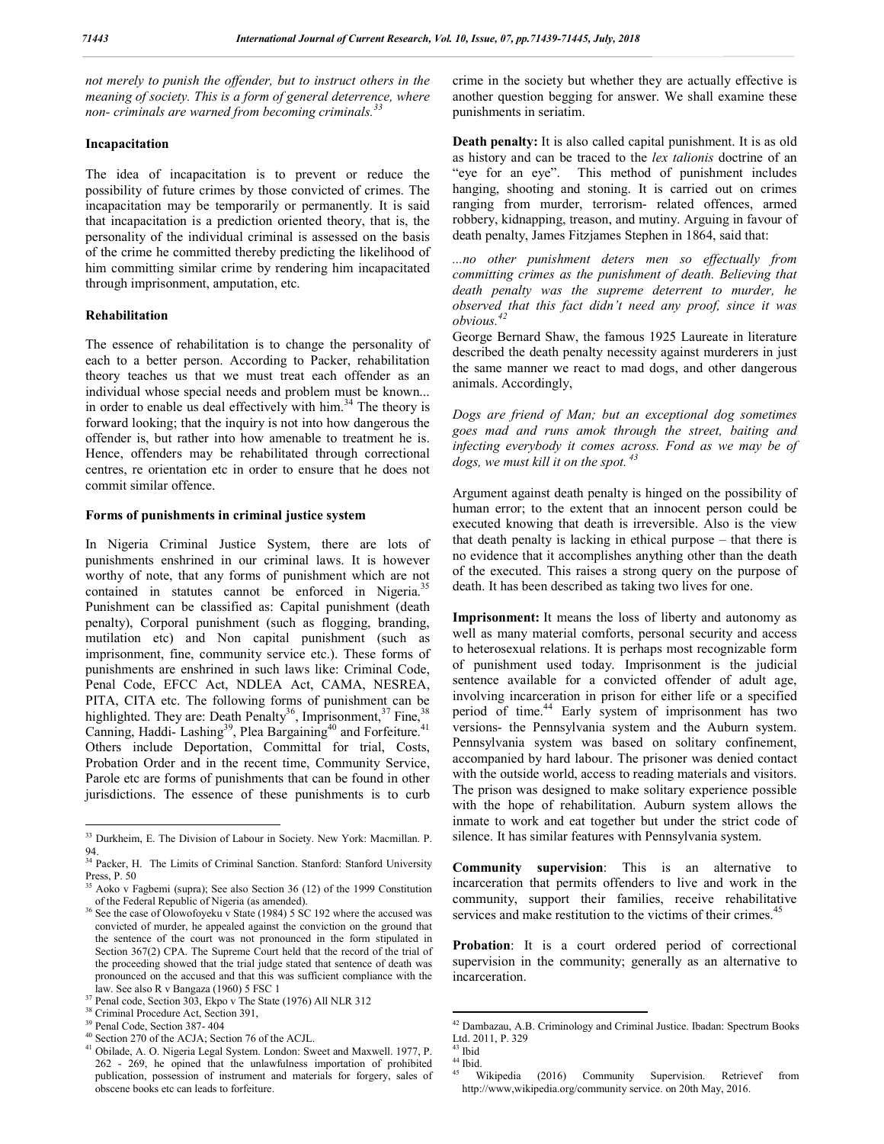*not merely to punish the offender, but to instruct others in the meaning of society. This is a form of general deterrence, where non- criminals are warned from becoming criminals.<sup>33</sup>*

#### **Incapacitation**

The idea of incapacitation is to prevent or reduce the possibility of future crimes by those convicted of crimes. The incapacitation may be temporarily or permanently. It is said that incapacitation is a prediction oriented theory, that is, the personality of the individual criminal is assessed on the basis of the crime he committed thereby predicting the likelihood of him committing similar crime by rendering him incapacitated through imprisonment, amputation, etc.

#### **Rehabilitation**

The essence of rehabilitation is to change the personality of each to a better person. According to Packer, rehabilitation theory teaches us that we must treat each offender as an individual whose special needs and problem must be known... in order to enable us deal effectively with him.<sup>34</sup> The theory is forward looking; that the inquiry is not into how dangerous the offender is, but rather into how amenable to treatment he is. Hence, offenders may be rehabilitated through correctional centres, re orientation etc in order to ensure that he does not commit similar offence.

## **Forms of punishments in criminal justice system**

In Nigeria Criminal Justice System, there are lots of punishments enshrined in our criminal laws. It is however worthy of note, that any forms of punishment which are not contained in statutes cannot be enforced in Nigeria.<sup>35</sup> Punishment can be classified as: Capital punishment (death penalty), Corporal punishment (such as flogging, branding, mutilation etc) and Non capital punishment (such as imprisonment, fine, community service etc.). These forms of punishments are enshrined in such laws like: Criminal Code, Penal Code, EFCC Act, NDLEA Act, CAMA, NESREA, PITA, CITA etc. The following forms of punishment can be highlighted. They are: Death Penalty<sup>36</sup>, Imprisonment,<sup>37</sup> Fine,<sup>38</sup> Canning, Haddi- Lashing<sup>39</sup>, Plea Bargaining<sup>40</sup> and Forfeiture.<sup>41</sup> Others include Deportation, Committal for trial, Costs, Probation Order and in the recent time, Community Service, Parole etc are forms of punishments that can be found in other jurisdictions. The essence of these punishments is to curb

crime in the society but whether they are actually effective is another question begging for answer. We shall examine these punishments in seriatim.

**Death penalty:** It is also called capital punishment. It is as old as history and can be traced to the *lex talionis* doctrine of an "eye for an eye". This method of punishment includes hanging, shooting and stoning. It is carried out on crimes ranging from murder, terrorism- related offences, armed robbery, kidnapping, treason, and mutiny. Arguing in favour of death penalty, James Fitzjames Stephen in 1864, said that:

*...no other punishment deters men so effectually from committing crimes as the punishment of death. Believing that death penalty was the supreme deterrent to murder, he observed that this fact didn't need any proof, since it was obvious.<sup>42</sup>*

George Bernard Shaw, the famous 1925 Laureate in literature described the death penalty necessity against murderers in just the same manner we react to mad dogs, and other dangerous animals. Accordingly,

*Dogs are friend of Man; but an exceptional dog sometimes goes mad and runs amok through the street, baiting and infecting everybody it comes across. Fond as we may be of dogs, we must kill it on the spot. <sup>43</sup>*

Argument against death penalty is hinged on the possibility of human error; to the extent that an innocent person could be executed knowing that death is irreversible. Also is the view that death penalty is lacking in ethical purpose – that there is no evidence that it accomplishes anything other than the death of the executed. This raises a strong query on the purpose of death. It has been described as taking two lives for one.

**Imprisonment:** It means the loss of liberty and autonomy as well as many material comforts, personal security and access to heterosexual relations. It is perhaps most recognizable form of punishment used today. Imprisonment is the judicial sentence available for a convicted offender of adult age, involving incarceration in prison for either life or a specified period of time.<sup>44</sup> Early system of imprisonment has two versions- the Pennsylvania system and the Auburn system. Pennsylvania system was based on solitary confinement, accompanied by hard labour. The prisoner was denied contact with the outside world, access to reading materials and visitors. The prison was designed to make solitary experience possible with the hope of rehabilitation. Auburn system allows the inmate to work and eat together but under the strict code of silence. It has similar features with Pennsylvania system.

**Community supervision**: This is an alternative to incarceration that permits offenders to live and work in the community, support their families, receive rehabilitative services and make restitution to the victims of their crimes.<sup>45</sup>

**Probation**: It is a court ordered period of correctional supervision in the community; generally as an alternative to incarceration.

 <sup>33</sup> Durkheim, E. The Division of Labour in Society. New York: Macmillan. P. 94.

<sup>&</sup>lt;sup>34</sup> Packer, H. The Limits of Criminal Sanction. Stanford: Stanford University Press, P. 50 <sup>35</sup> Aoko v Fagbemi (supra); See also Section 36 (12) of the 1999 Constitution

of the Federal Republic of Nigeria (as amended). <sup>36</sup> See the case of Olowofoyeku v State (1984) 5 SC 192 where the accused was convicted of murder, he appealed against the conviction on the ground that the sentence of the court was not pronounced in the form stipulated in Section 367(2) CPA. The Supreme Court held that the record of the trial of the proceeding showed that the trial judge stated that sentence of death was pronounced on the accused and that this was sufficient compliance with the

law. See also R v Bangaza (1960) 5 FSC 1<br><sup>37</sup> Penal code, Section 303, Ekpo v The State (1976) All NLR 312<br><sup>38</sup> Criminal Procedure Act, Section 391,<br><sup>39</sup> Penal Code, Section 387-404

<sup>&</sup>lt;sup>40</sup> Section 270 of the ACJA; Section 76 of the ACJL.  $41$  Obilade, A. O. Nigeria Legal System. London: Sweet and Maxwell. 1977, P. 262 - 269, he opined that the unlawfulness importation of prohibited publication, possession of instrument and materials for forgery, sales of obscene books etc can leads to forfeiture.

 <sup>42</sup> Dambazau, A.B. Criminology and Criminal Justice. Ibadan: Spectrum Books Ltd. 2011, P. 329

<sup>&</sup>lt;sup>43</sup> Ibid<br><sup>44</sup> Ibid.<br><sup>45</sup> Wikipedia (2016) Community Supervision. Retrievef from http://www,wikipedia.org/community service. on 20th May, 2016.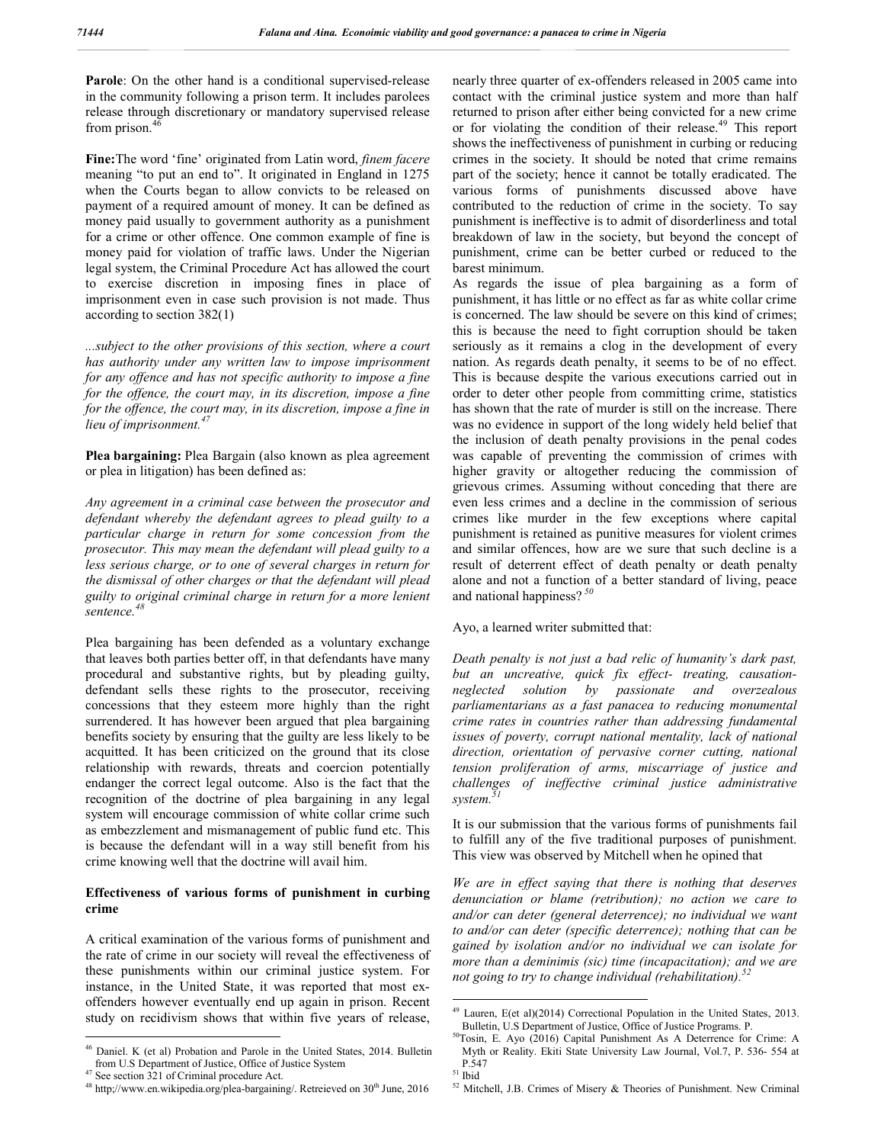Parole: On the other hand is a conditional supervised-release in the community following a prison term. It includes parolees release through discretionary or mandatory supervised release from prison.<sup>46</sup>

**Fine:**The word 'fine' originated from Latin word, *finem facere* meaning "to put an end to". It originated in England in 1275 when the Courts began to allow convicts to be released on payment of a required amount of money. It can be defined as money paid usually to government authority as a punishment for a crime or other offence. One common example of fine is money paid for violation of traffic laws. Under the Nigerian legal system, the Criminal Procedure Act has allowed the court to exercise discretion in imposing fines in place of imprisonment even in case such provision is not made. Thus according to section 382(1)

*...subject to the other provisions of this section, where a court has authority under any written law to impose imprisonment for any offence and has not specific authority to impose a fine for the offence, the court may, in its discretion, impose a fine for the offence, the court may, in its discretion, impose a fine in lieu of imprisonment.<sup>47</sup>*

**Plea bargaining:** Plea Bargain (also known as plea agreement or plea in litigation) has been defined as:

*Any agreement in a criminal case between the prosecutor and defendant whereby the defendant agrees to plead guilty to a particular charge in return for some concession from the prosecutor. This may mean the defendant will plead guilty to a less serious charge, or to one of several charges in return for the dismissal of other charges or that the defendant will plead guilty to original criminal charge in return for a more lenient sentence.<sup>48</sup>*

Plea bargaining has been defended as a voluntary exchange that leaves both parties better off, in that defendants have many procedural and substantive rights, but by pleading guilty, defendant sells these rights to the prosecutor, receiving concessions that they esteem more highly than the right surrendered. It has however been argued that plea bargaining benefits society by ensuring that the guilty are less likely to be acquitted. It has been criticized on the ground that its close relationship with rewards, threats and coercion potentially endanger the correct legal outcome. Also is the fact that the recognition of the doctrine of plea bargaining in any legal system will encourage commission of white collar crime such as embezzlement and mismanagement of public fund etc. This is because the defendant will in a way still benefit from his crime knowing well that the doctrine will avail him.

#### **Effectiveness of various forms of punishment in curbing crime**

A critical examination of the various forms of punishment and the rate of crime in our society will reveal the effectiveness of these punishments within our criminal justice system. For instance, in the United State, it was reported that most exoffenders however eventually end up again in prison. Recent study on recidivism shows that within five years of release, nearly three quarter of ex-offenders released in 2005 came into contact with the criminal justice system and more than half returned to prison after either being convicted for a new crime or for violating the condition of their release.<sup>49</sup> This report shows the ineffectiveness of punishment in curbing or reducing crimes in the society. It should be noted that crime remains part of the society; hence it cannot be totally eradicated. The various forms of punishments discussed above have contributed to the reduction of crime in the society. To say punishment is ineffective is to admit of disorderliness and total breakdown of law in the society, but beyond the concept of punishment, crime can be better curbed or reduced to the barest minimum.

As regards the issue of plea bargaining as a form of punishment, it has little or no effect as far as white collar crime is concerned. The law should be severe on this kind of crimes; this is because the need to fight corruption should be taken seriously as it remains a clog in the development of every nation. As regards death penalty, it seems to be of no effect. This is because despite the various executions carried out in order to deter other people from committing crime, statistics has shown that the rate of murder is still on the increase. There was no evidence in support of the long widely held belief that the inclusion of death penalty provisions in the penal codes was capable of preventing the commission of crimes with higher gravity or altogether reducing the commission of grievous crimes. Assuming without conceding that there are even less crimes and a decline in the commission of serious crimes like murder in the few exceptions where capital punishment is retained as punitive measures for violent crimes and similar offences, how are we sure that such decline is a result of deterrent effect of death penalty or death penalty alone and not a function of a better standard of living, peace and national happiness?<sup>5</sup>

Ayo, a learned writer submitted that:

*Death penalty is not just a bad relic of humanity's dark past, but an uncreative, quick fix effect- treating, causationneglected solution by passionate and overzealous parliamentarians as a fast panacea to reducing monumental crime rates in countries rather than addressing fundamental issues of poverty, corrupt national mentality, lack of national direction, orientation of pervasive corner cutting, national tension proliferation of arms, miscarriage of justice and challenges of ineffective criminal justice administrative system.<sup>51</sup>*

It is our submission that the various forms of punishments fail to fulfill any of the five traditional purposes of punishment. This view was observed by Mitchell when he opined that

*We are in effect saying that there is nothing that deserves denunciation or blame (retribution); no action we care to and/or can deter (general deterrence); no individual we want to and/or can deter (specific deterrence); nothing that can be gained by isolation and/or no individual we can isolate for more than a deminimis (sic) time (incapacitation); and we are not going to try to change individual (rehabilitation).<sup>52</sup>*

 $46$  Daniel. K (et al) Probation and Parole in the United States, 2014. Bulletin from U.S Department of Justice, Office of Justice System

<sup>&</sup>lt;sup>47</sup> See section 321 of Criminal procedure Act.  $48$  http://www.en.wikipedia.org/plea-bargaining/. Retreieved on 30<sup>th</sup> June, 2016

 $49$  Lauren, E(et al)(2014) Correctional Population in the United States, 2013.<br>Bulletin, U.S Department of Justice, Office of Justice Programs. P.

 $50$ Tosin, E. Ayo (2016) Capital Punishment As A Deterrence for Crime: A Myth or Reality. Ekiti State University Law Journal, Vol.7, P. 536- 554 at

 $P<sub>51</sub>$  Ibid<br><sup>51</sup> Ibid<br><sup>52</sup> Mitchell, J.B. Crimes of Misery & Theories of Punishment. New Criminal